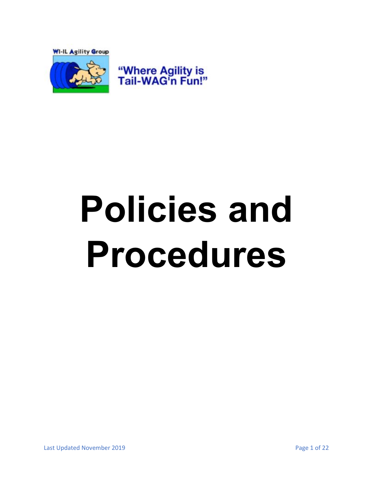

# <span id="page-0-0"></span>**Policies and Procedures**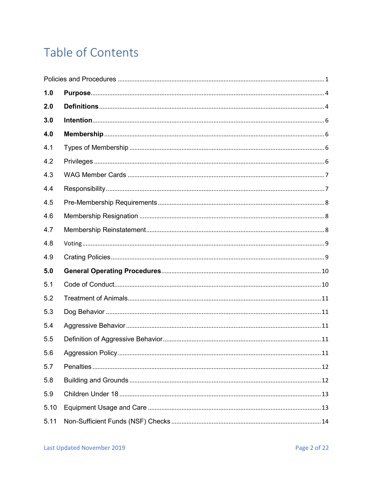# Table of Contents

| 1.0  |  |
|------|--|
| 2.0  |  |
| 3.0  |  |
| 4.0  |  |
| 4.1  |  |
| 4.2  |  |
| 4.3  |  |
| 4.4  |  |
| 4.5  |  |
| 4.6  |  |
| 4.7  |  |
| 4.8  |  |
| 4.9  |  |
| 5.0  |  |
| 5.1  |  |
| 5.2  |  |
| 5.3  |  |
| 5.4  |  |
| 5.5  |  |
| 5.6  |  |
| 5.7  |  |
| 5.8  |  |
| 5.9  |  |
| 5.10 |  |
| 5.11 |  |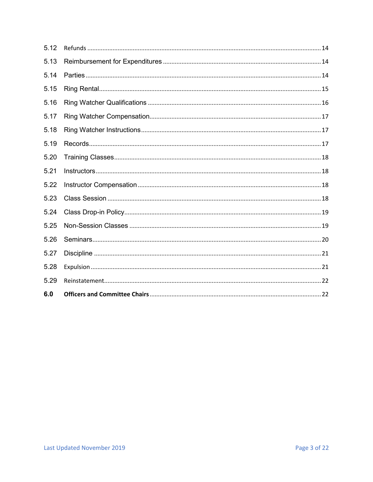| 6.0  |  |
|------|--|
| 5.29 |  |
| 5.28 |  |
| 5.27 |  |
| 5.26 |  |
| 5.25 |  |
| 5.24 |  |
| 5.23 |  |
| 5.22 |  |
| 5.21 |  |
| 5.20 |  |
| 5.19 |  |
| 5.18 |  |
| 5.17 |  |
| 5.16 |  |
| 5.15 |  |
| 5.14 |  |
| 5.13 |  |
| 5.12 |  |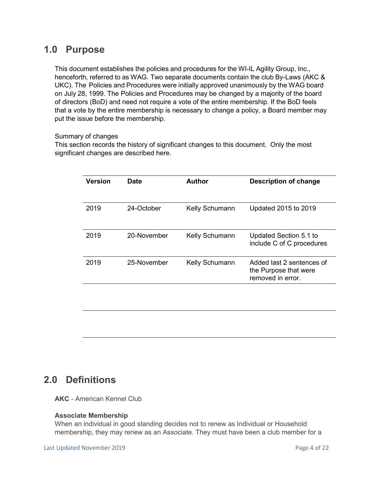## <span id="page-3-0"></span>**1.0 Purpose**

This document establishes the policies and procedures for the WI-IL Agility Group, Inc., henceforth, referred to as WAG. Two separate documents contain the club By-Laws (AKC & UKC). The Policies and Procedures were initially approved unanimously by the WAG board on July 28, 1999. The Policies and Procedures may be changed by a majority of the board of directors (BoD) and need not require a vote of the entire membership. If the BoD feels that a vote by the entire membership is necessary to change a policy, a Board member may put the issue before the membership.

#### Summary of changes

This section records the history of significant changes to this document. Only the most significant changes are described here.

| <b>Version</b> | Date        | <b>Author</b>         | <b>Description of change</b>                                            |
|----------------|-------------|-----------------------|-------------------------------------------------------------------------|
| 2019           | 24-October  | <b>Kelly Schumann</b> | Updated 2015 to 2019                                                    |
| 2019           | 20-November | Kelly Schumann        | Updated Section 5.1 to<br>include C of C procedures                     |
| 2019           | 25-November | Kelly Schumann        | Added last 2 sentences of<br>the Purpose that were<br>removed in error. |

# <span id="page-3-1"></span>**2.0 Definitions**

**AKC** - American Kennel Club

#### **Associate Membership**

When an individual in good standing decides not to renew as Individual or Household membership, they may renew as an Associate. They must have been a club member for a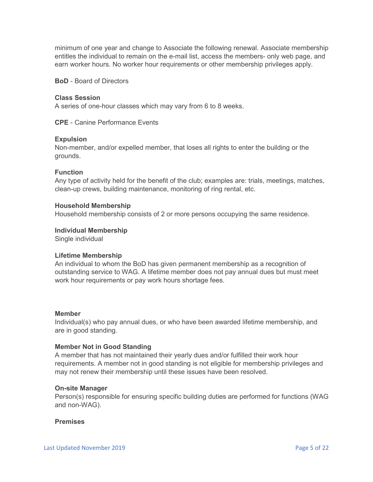minimum of one year and change to Associate the following renewal. Associate membership entitles the individual to remain on the e-mail list, access the members- only web page, and earn worker hours. No worker hour requirements or other membership privileges apply.

**BoD** - Board of Directors

#### **Class Session**

A series of one-hour classes which may vary from 6 to 8 weeks.

**CPE** - Canine Performance Events

#### **Expulsion**

Non-member, and/or expelled member, that loses all rights to enter the building or the grounds.

#### **Function**

Any type of activity held for the benefit of the club; examples are: trials, meetings, matches, clean-up crews, building maintenance, monitoring of ring rental, etc.

#### **Household Membership**

Household membership consists of 2 or more persons occupying the same residence.

#### **Individual Membership**

Single individual

#### **Lifetime Membership**

An individual to whom the BoD has given permanent membership as a recognition of outstanding service to WAG. A lifetime member does not pay annual dues but must meet work hour requirements or pay work hours shortage fees.

#### **Member**

Individual(s) who pay annual dues, or who have been awarded lifetime membership, and are in good standing.

#### **Member Not in Good Standing**

A member that has not maintained their yearly dues and/or fulfilled their work hour requirements. A member not in good standing is not eligible for membership privileges and may not renew their membership until these issues have been resolved.

#### **On-site Manager**

Person(s) responsible for ensuring specific building duties are performed for functions (WAG and non-WAG).

#### **Premises**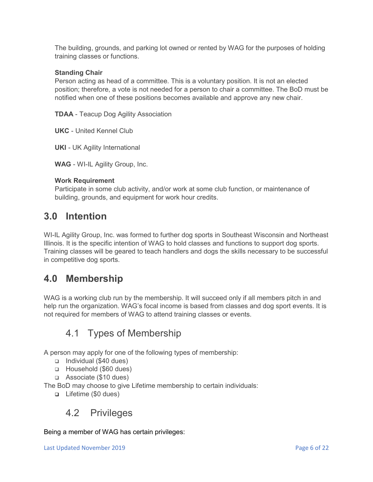The building, grounds, and parking lot owned or rented by WAG for the purposes of holding training classes or functions.

#### **Standing Chair**

Person acting as head of a committee. This is a voluntary position. It is not an elected position; therefore, a vote is not needed for a person to chair a committee. The BoD must be notified when one of these positions becomes available and approve any new chair.

**TDAA** - Teacup Dog Agility Association

**UKC** - United Kennel Club

**UKI** - UK Agility International

**WAG** - WI-IL Agility Group, Inc.

#### **Work Requirement**

Participate in some club activity, and/or work at some club function, or maintenance of building, grounds, and equipment for work hour credits.

# <span id="page-5-0"></span>**3.0 Intention**

WI-IL Agility Group, Inc. was formed to further dog sports in Southeast Wisconsin and Northeast Illinois. It is the specific intention of WAG to hold classes and functions to support dog sports. Training classes will be geared to teach handlers and dogs the skills necessary to be successful in competitive dog sports.

# <span id="page-5-1"></span>**4.0 Membership**

WAG is a working club run by the membership. It will succeed only if all members pitch in and help run the organization. WAG's focal income is based from classes and dog sport events. It is not required for members of WAG to attend training classes or events.

# 4.1 Types of Membership

<span id="page-5-2"></span>A person may apply for one of the following types of membership:

- $\Box$  Individual (\$40 dues)
- Household (\$60 dues)
- □ Associate (\$10 dues)

The BoD may choose to give Lifetime membership to certain individuals:

Lifetime (\$0 dues)

## <span id="page-5-3"></span>4.2 Privileges

Being a member of WAG has certain privileges: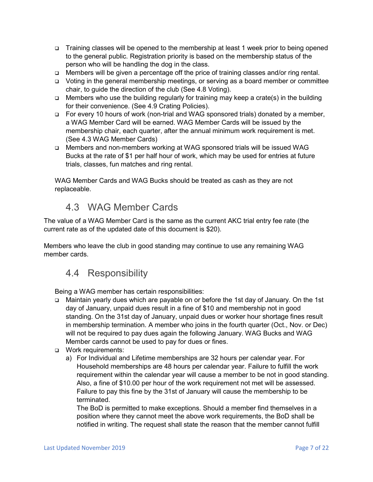- Training classes will be opened to the membership at least 1 week prior to being opened to the general public. Registration priority is based on the membership status of the person who will be handling the dog in the class.
- Members will be given a percentage off the price of training classes and/or ring rental.
- Voting in the general membership meetings, or serving as a board member or committee chair, to guide the direction of the club (See 4.8 Voting).
- $\Box$  Members who use the building regularly for training may keep a crate(s) in the building for their convenience. (See 4.9 Crating Policies).
- □ For every 10 hours of work (non-trial and WAG sponsored trials) donated by a member, a WAG Member Card will be earned. WAG Member Cards will be issued by the membership chair, each quarter, after the annual minimum work requirement is met. (See 4.3 WAG Member Cards)
- □ Members and non-members working at WAG sponsored trials will be issued WAG Bucks at the rate of \$1 per half hour of work, which may be used for entries at future trials, classes, fun matches and ring rental.

WAG Member Cards and WAG Bucks should be treated as cash as they are not replaceable.

## 4.3 WAG Member Cards

<span id="page-6-0"></span>The value of a WAG Member Card is the same as the current AKC trial entry fee rate (the current rate as of the updated date of this document is \$20).

Members who leave the club in good standing may continue to use any remaining WAG member cards.

# <span id="page-6-1"></span>4.4 Responsibility

Being a WAG member has certain responsibilities:

- Maintain yearly dues which are payable on or before the 1st day of January. On the 1st day of January, unpaid dues result in a fine of \$10 and membership not in good standing. On the 31st day of January, unpaid dues or worker hour shortage fines result in membership termination. A member who joins in the fourth quarter (Oct., Nov. or Dec) will not be required to pay dues again the following January. WAG Bucks and WAG Member cards cannot be used to pay for dues or fines.
- **D** Work requirements:
	- a) For Individual and Lifetime memberships are 32 hours per calendar year. For Household memberships are 48 hours per calendar year. Failure to fulfill the work requirement within the calendar year will cause a member to be not in good standing. Also, a fine of \$10.00 per hour of the work requirement not met will be assessed. Failure to pay this fine by the 31st of January will cause the membership to be terminated.

The BoD is permitted to make exceptions. Should a member find themselves in a position where they cannot meet the above work requirements, the BoD shall be notified in writing. The request shall state the reason that the member cannot fulfill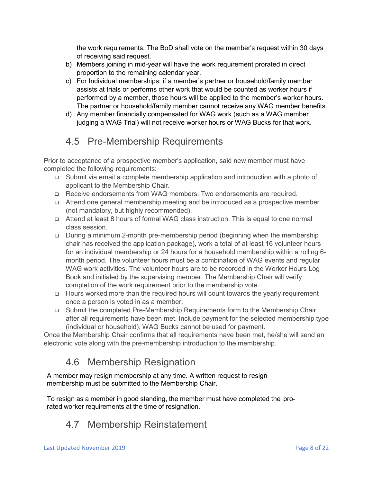the work requirements. The BoD shall vote on the member's request within 30 days of receiving said request.

- b) Members joining in mid-year will have the work requirement prorated in direct proportion to the remaining calendar year.
- c) For Individual memberships: if a member's partner or household/family member assists at trials or performs other work that would be counted as worker hours if performed by a member, those hours will be applied to the member's worker hours. The partner or household/family member cannot receive any WAG member benefits.
- d) Any member financially compensated for WAG work (such as a WAG member judging a WAG Trial) will not receive worker hours or WAG Bucks for that work.

# 4.5 Pre-Membership Requirements

<span id="page-7-0"></span>Prior to acceptance of a prospective member's application, said new member must have completed the following requirements:

- Submit via email a complete membership application and introduction with a photo of applicant to the Membership Chair.
- Receive endorsements from WAG members. Two endorsements are required.
- Attend one general membership meeting and be introduced as a prospective member (not mandatory, but highly recommended).
- Attend at least 8 hours of formal WAG class instruction. This is equal to one normal class session.
- During a minimum 2-month pre-membership period (beginning when the membership chair has received the application package), work a total of at least 16 volunteer hours for an individual membership or 24 hours for a household membership within a rolling 6 month period. The volunteer hours must be a combination of WAG events and regular WAG work activities. The volunteer hours are to be recorded in the Worker Hours Log Book and initialed by the supervising member. The Membership Chair will verify completion of the work requirement prior to the membership vote.
- Hours worked more than the required hours will count towards the yearly requirement once a person is voted in as a member.
- Submit the completed Pre-Membership Requirements form to the Membership Chair after all requirements have been met. Include payment for the selected membership type (individual or household). WAG Bucks cannot be used for payment.

Once the Membership Chair confirms that all requirements have been met, he/she will send an electronic vote along with the pre-membership introduction to the membership.

# 4.6 Membership Resignation

<span id="page-7-1"></span>A member may resign membership at any time. A written request to resign membership must be submitted to the Membership Chair.

To resign as a member in good standing, the member must have completed the prorated worker requirements at the time of resignation.

# <span id="page-7-2"></span>4.7 Membership Reinstatement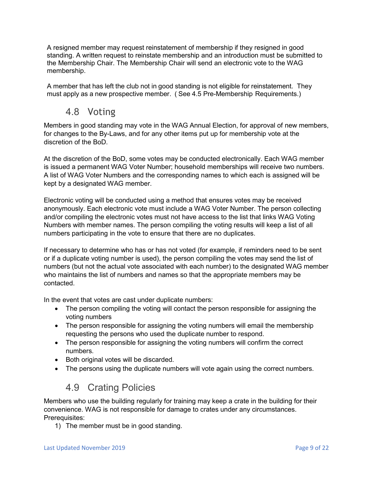A resigned member may request reinstatement of membership if they resigned in good standing. A written request to reinstate membership and an introduction must be submitted to the Membership Chair. The Membership Chair will send an electronic vote to the WAG membership.

A member that has left the club not in good standing is not eligible for reinstatement. They must apply as a new prospective member. ( See 4.5 Pre-Membership Requirements.)

## 4.8 Voting

<span id="page-8-0"></span>Members in good standing may vote in the WAG Annual Election, for approval of new members, for changes to the By-Laws, and for any other items put up for membership vote at the discretion of the BoD.

At the discretion of the BoD, some votes may be conducted electronically. Each WAG member is issued a permanent WAG Voter Number; household memberships will receive two numbers. A list of WAG Voter Numbers and the corresponding names to which each is assigned will be kept by a designated WAG member.

Electronic voting will be conducted using a method that ensures votes may be received anonymously. Each electronic vote must include a WAG Voter Number. The person collecting and/or compiling the electronic votes must not have access to the list that links WAG Voting Numbers with member names. The person compiling the voting results will keep a list of all numbers participating in the vote to ensure that there are no duplicates.

If necessary to determine who has or has not voted (for example, if reminders need to be sent or if a duplicate voting number is used), the person compiling the votes may send the list of numbers (but not the actual vote associated with each number) to the designated WAG member who maintains the list of numbers and names so that the appropriate members may be contacted.

In the event that votes are cast under duplicate numbers:

- The person compiling the voting will contact the person responsible for assigning the voting numbers
- The person responsible for assigning the voting numbers will email the membership requesting the persons who used the duplicate number to respond.
- The person responsible for assigning the voting numbers will confirm the correct numbers.
- Both original votes will be discarded.
- The persons using the duplicate numbers will vote again using the correct numbers.

# 4.9 Crating Policies

<span id="page-8-1"></span>Members who use the building regularly for training may keep a crate in the building for their convenience. WAG is not responsible for damage to crates under any circumstances. Prerequisites:

1) The member must be in good standing.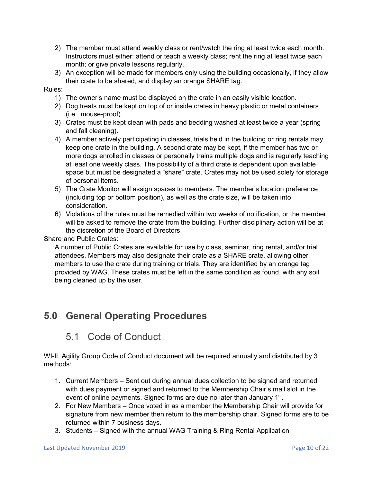- 2) The member must attend weekly class or rent/watch the ring at least twice each month. Instructors must either: attend or teach a weekly class; rent the ring at least twice each month; or give private lessons regularly.
- 3) An exception will be made for members only using the building occasionally, if they allow their crate to be shared, and display an orange SHARE tag.

#### Rules:

- 1) The owner's name must be displayed on the crate in an easily visible location.
- 2) Dog treats must be kept on top of or inside crates in heavy plastic or metal containers (i.e., mouse-proof).
- 3) Crates must be kept clean with pads and bedding washed at least twice a year (spring and fall cleaning).
- 4) A member actively participating in classes, trials held in the building or ring rentals may keep one crate in the building. A second crate may be kept, if the member has two or more dogs enrolled in classes or personally trains multiple dogs and is regularly teaching at least one weekly class. The possibility of a third crate is dependent upon available space but must be designated a "share" crate. Crates may not be used solely for storage of personal items.
- 5) The Crate Monitor will assign spaces to members. The member's location preference (including top or bottom position), as well as the crate size, will be taken into consideration.
- 6) Violations of the rules must be remedied within two weeks of notification, or the member will be asked to remove the crate from the building. Further disciplinary action will be at the discretion of the Board of Directors.

Share and Public Crates:

A number of Public Crates are available for use by class, seminar, ring rental, and/or trial attendees. Members may also designate their crate as a SHARE crate, allowing other members to use the crate during training or trials. They are identified by an orange tag provided by WAG. These crates must be left in the same condition as found, with any soil being cleaned up by the user.

# <span id="page-9-1"></span><span id="page-9-0"></span>**5.0 General Operating Procedures**

## 5.1 Code of Conduct

WI-IL Agility Group Code of Conduct document will be required annually and distributed by 3 methods:

- 1. Current Members Sent out during annual dues collection to be signed and returned with dues payment or signed and returned to the Membership Chair's mail slot in the event of online payments. Signed forms are due no later than January 1<sup>st</sup>.
- 2. For New Members Once voted in as a member the Membership Chair will provide for signature from new member then return to the membership chair. Signed forms are to be returned within 7 business days.
- 3. Students Signed with the annual WAG Training & Ring Rental Application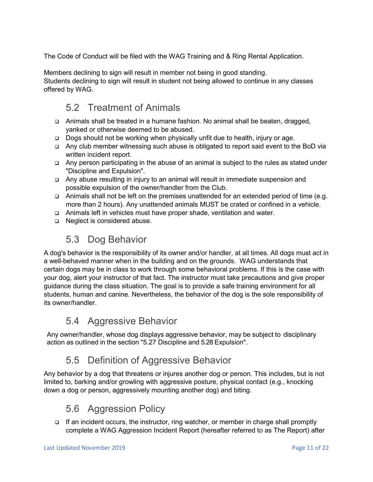The Code of Conduct will be filed with the WAG Training and & Ring Rental Application.

Members declining to sign will result in member not being in good standing. Students declining to sign will result in student not being allowed to continue in any classes offered by WAG.

# 5.2 Treatment of Animals

- <span id="page-10-0"></span> Animals shall be treated in a humane fashion. No animal shall be beaten, dragged, yanked or otherwise deemed to be abused.
- Dogs should not be working when physically unfit due to health, injury or age.
- Any club member witnessing such abuse is obligated to report said event to the BoD via written incident report.
- Any person participating in the abuse of an animal is subject to the rules as stated under "Discipline and Expulsion".
- Any abuse resulting in injury to an animal will result in immediate suspension and possible expulsion of the owner/handler from the Club.
- Animals shall not be left on the premises unattended for an extended period of time (e.g. more than 2 hours). Any unattended animals MUST be crated or confined in a vehicle.
- Animals left in vehicles must have proper shade, ventilation and water.
- □ Neglect is considered abuse.

# 5.3 Dog Behavior

<span id="page-10-1"></span>A dog's behavior is the responsibility of its owner and/or handler, at all times. All dogs must act in a well-behaved manner when in the building and on the grounds. WAG understands that certain dogs may be in class to work through some behavioral problems. If this is the case with your dog, alert your instructor of that fact. The instructor must take precautions and give proper guidance during the class situation. The goal is to provide a safe training environment for all students, human and canine. Nevertheless, the behavior of the dog is the sole responsibility of its owner/handler.

## 5.4 Aggressive Behavior

<span id="page-10-2"></span>Any owner/handler, whose dog displays aggressive behavior, may be subject to disciplinary action as outlined in the section "5.27 Discipline and 5.28 Expulsion".

# 5.5 Definition of Aggressive Behavior

<span id="page-10-3"></span>Any behavior by a dog that threatens or injures another dog or person. This includes, but is not limited to, barking and/or growling with aggressive posture, physical contact (e.g., knocking down a dog or person, aggressively mounting another dog) and biting.

# 5.6 Aggression Policy

<span id="page-10-4"></span> $\Box$  If an incident occurs, the instructor, ring watcher, or member in charge shall promptly complete a WAG Aggression Incident Report (hereafter referred to as The Report) after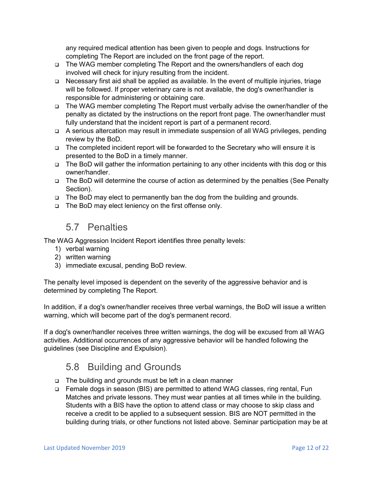any required medical attention has been given to people and dogs. Instructions for completing The Report are included on the front page of the report.

- The WAG member completing The Report and the owners/handlers of each dog involved will check for injury resulting from the incident.
- Necessary first aid shall be applied as available. In the event of multiple injuries, triage will be followed. If proper veterinary care is not available, the dog's owner/handler is responsible for administering or obtaining care.
- The WAG member completing The Report must verbally advise the owner/handler of the penalty as dictated by the instructions on the report front page. The owner/handler must fully understand that the incident report is part of a permanent record.
- A serious altercation may result in immediate suspension of all WAG privileges, pending review by the BoD.
- The completed incident report will be forwarded to the Secretary who will ensure it is presented to the BoD in a timely manner.
- □ The BoD will gather the information pertaining to any other incidents with this dog or this owner/handler.
- □ The BoD will determine the course of action as determined by the penalties (See Penalty Section).
- □ The BoD may elect to permanently ban the dog from the building and grounds.
- □ The BoD may elect leniency on the first offense only.

## 5.7 Penalties

<span id="page-11-0"></span>The WAG Aggression Incident Report identifies three penalty levels:

- 1) verbal warning
- 2) written warning
- 3) immediate excusal, pending BoD review.

The penalty level imposed is dependent on the severity of the aggressive behavior and is determined by completing The Report.

In addition, if a dog's owner/handler receives three verbal warnings, the BoD will issue a written warning, which will become part of the dog's permanent record.

If a dog's owner/handler receives three written warnings, the dog will be excused from all WAG activities. Additional occurrences of any aggressive behavior will be handled following the guidelines (see Discipline and Expulsion).

# 5.8 Building and Grounds

- <span id="page-11-1"></span>□ The building and grounds must be left in a clean manner
- Female dogs in season (BIS) are permitted to attend WAG classes, ring rental, Fun Matches and private lessons. They must wear panties at all times while in the building. Students with a BIS have the option to attend class or may choose to skip class and receive a credit to be applied to a subsequent session. BIS are NOT permitted in the building during trials, or other functions not listed above. Seminar participation may be at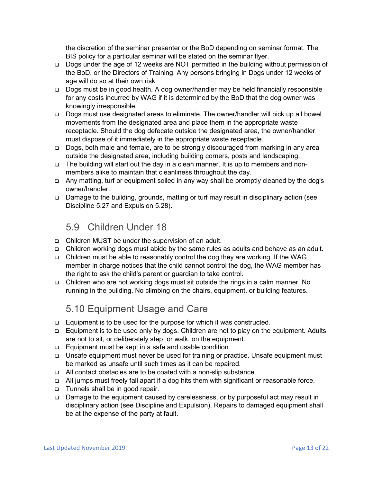the discretion of the seminar presenter or the BoD depending on seminar format. The BIS policy for a particular seminar will be stated on the seminar flyer.

- Dogs under the age of 12 weeks are NOT permitted in the building without permission of the BoD, or the Directors of Training. Any persons bringing in Dogs under 12 weeks of age will do so at their own risk.
- Dogs must be in good health. A dog owner/handler may be held financially responsible for any costs incurred by WAG if it is determined by the BoD that the dog owner was knowingly irresponsible.
- Dogs must use designated areas to eliminate. The owner/handler will pick up all bowel movements from the designated area and place them in the appropriate waste receptacle. Should the dog defecate outside the designated area, the owner/handler must dispose of it immediately in the appropriate waste receptacle.
- □ Dogs, both male and female, are to be strongly discouraged from marking in any area outside the designated area, including building corners, posts and landscaping.
- The building will start out the day in a clean manner. It is up to members and nonmembers alike to maintain that cleanliness throughout the day.
- □ Any matting, turf or equipment soiled in any way shall be promptly cleaned by the dog's owner/handler.
- □ Damage to the building, grounds, matting or turf may result in disciplinary action (see Discipline 5.27 and Expulsion 5.28).

## 5.9 Children Under 18

- <span id="page-12-0"></span>□ Children MUST be under the supervision of an adult.
- Children working dogs must abide by the same rules as adults and behave as an adult.
- Children must be able to reasonably control the dog they are working. If the WAG member in charge notices that the child cannot control the dog, the WAG member has the right to ask the child's parent or guardian to take control.
- Children who are not working dogs must sit outside the rings in a calm manner. No running in the building. No climbing on the chairs, equipment, or building features.

# 5.10 Equipment Usage and Care

- <span id="page-12-1"></span>□ Equipment is to be used for the purpose for which it was constructed.
- Equipment is to be used only by dogs. Children are not to play on the equipment. Adults are not to sit, or deliberately step, or walk, on the equipment.
- □ Equipment must be kept in a safe and usable condition.
- Unsafe equipment must never be used for training or practice. Unsafe equipment must be marked as unsafe until such times as it can be repaired.
- □ All contact obstacles are to be coated with a non-slip substance.
- All jumps must freely fall apart if a dog hits them with significant or reasonable force.
- □ Tunnels shall be in good repair.
- Damage to the equipment caused by carelessness, or by purposeful act may result in disciplinary action (see Discipline and Expulsion). Repairs to damaged equipment shall be at the expense of the party at fault.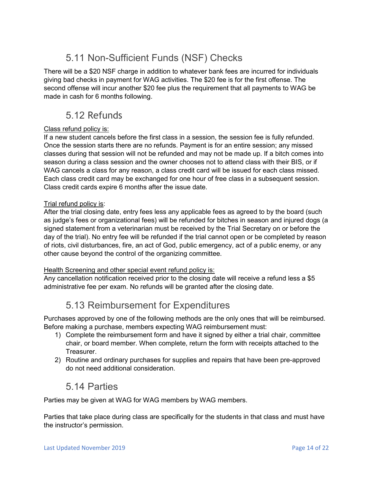# 5.11 Non-Sufficient Funds (NSF) Checks

<span id="page-13-0"></span>There will be a \$20 NSF charge in addition to whatever bank fees are incurred for individuals giving bad checks in payment for WAG activities. The \$20 fee is for the first offense. The second offense will incur another \$20 fee plus the requirement that all payments to WAG be made in cash for 6 months following.

# 5.12 Refunds

#### <span id="page-13-1"></span>Class refund policy is:

If a new student cancels before the first class in a session, the session fee is fully refunded. Once the session starts there are no refunds. Payment is for an entire session; any missed classes during that session will not be refunded and may not be made up. If a bitch comes into season during a class session and the owner chooses not to attend class with their BIS, or if WAG cancels a class for any reason, a class credit card will be issued for each class missed. Each class credit card may be exchanged for one hour of free class in a subsequent session. Class credit cards expire 6 months after the issue date.

#### Trial refund policy is:

After the trial closing date, entry fees less any applicable fees as agreed to by the board (such as judge's fees or organizational fees) will be refunded for bitches in season and injured dogs (a signed statement from a veterinarian must be received by the Trial Secretary on or before the day of the trial). No entry fee will be refunded if the trial cannot open or be completed by reason of riots, civil disturbances, fire, an act of God, public emergency, act of a public enemy, or any other cause beyond the control of the organizing committee.

#### Health Screening and other special event refund policy is:

Any cancellation notification received prior to the closing date will receive a refund less a \$5 administrative fee per exam. No refunds will be granted after the closing date.

# 5.13 Reimbursement for Expenditures

<span id="page-13-2"></span>Purchases approved by one of the following methods are the only ones that will be reimbursed. Before making a purchase, members expecting WAG reimbursement must:

- 1) Complete the reimbursement form and have it signed by either a trial chair, committee chair, or board member. When complete, return the form with receipts attached to the Treasurer.
- 2) Routine and ordinary purchases for supplies and repairs that have been pre-approved do not need additional consideration.

## 5.14 Parties

<span id="page-13-3"></span>Parties may be given at WAG for WAG members by WAG members.

Parties that take place during class are specifically for the students in that class and must have the instructor's permission.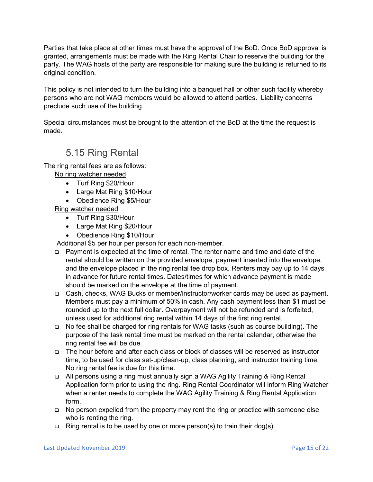Parties that take place at other times must have the approval of the BoD. Once BoD approval is granted, arrangements must be made with the Ring Rental Chair to reserve the building for the party. The WAG hosts of the party are responsible for making sure the building is returned to its original condition.

This policy is not intended to turn the building into a banquet hall or other such facility whereby persons who are not WAG members would be allowed to attend parties. Liability concerns preclude such use of the building.

Special circumstances must be brought to the attention of the BoD at the time the request is made.

# 5.15 Ring Rental

<span id="page-14-0"></span>The ring rental fees are as follows:

No ring watcher needed

- Turf Ring \$20/Hour
- Large Mat Ring \$10/Hour
- Obedience Ring \$5/Hour

#### Ring watcher needed

- Turf Ring \$30/Hour
- Large Mat Ring \$20/Hour
- Obedience Ring \$10/Hour

Additional \$5 per hour per person for each non-member.

- Payment is expected at the time of rental. The renter name and time and date of the rental should be written on the provided envelope, payment inserted into the envelope, and the envelope placed in the ring rental fee drop box. Renters may pay up to 14 days in advance for future rental times. Dates/times for which advance payment is made should be marked on the envelope at the time of payment.
- □ Cash, checks, WAG Bucks or member/instructor/worker cards may be used as payment. Members must pay a minimum of 50% in cash. Any cash payment less than \$1 must be rounded up to the next full dollar. Overpayment will not be refunded and is forfeited, unless used for additional ring rental within 14 days of the first ring rental.
- No fee shall be charged for ring rentals for WAG tasks (such as course building). The purpose of the task rental time must be marked on the rental calendar, otherwise the ring rental fee will be due.
- □ The hour before and after each class or block of classes will be reserved as instructor time, to be used for class set-up/clean-up, class planning, and instructor training time. No ring rental fee is due for this time.
- All persons using a ring must annually sign a WAG Agility Training & Ring Rental Application form prior to using the ring. Ring Rental Coordinator will inform Ring Watcher when a renter needs to complete the WAG Agility Training & Ring Rental Application form.
- $\Box$  No person expelled from the property may rent the ring or practice with someone else who is renting the ring.
- $\Box$  Ring rental is to be used by one or more person(s) to train their dog(s).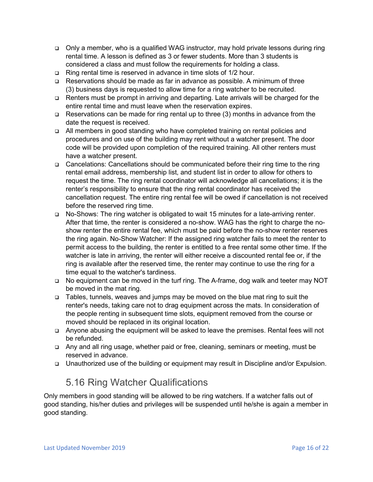- Only a member, who is a qualified WAG instructor, may hold private lessons during ring rental time. A lesson is defined as 3 or fewer students. More than 3 students is considered a class and must follow the requirements for holding a class.
- Ring rental time is reserved in advance in time slots of 1/2 hour.
- Reservations should be made as far in advance as possible. A minimum of three (3) business days is requested to allow time for a ring watcher to be recruited.
- Renters must be prompt in arriving and departing. Late arrivals will be charged for the entire rental time and must leave when the reservation expires.
- $\Box$  Reservations can be made for ring rental up to three (3) months in advance from the date the request is received.
- All members in good standing who have completed training on rental policies and procedures and on use of the building may rent without a watcher present. The door code will be provided upon completion of the required training. All other renters must have a watcher present.
- Cancelations: Cancellations should be communicated before their ring time to the ring rental email address, membership list, and student list in order to allow for others to request the time. The ring rental coordinator will acknowledge all cancellations; it is the renter's responsibility to ensure that the ring rental coordinator has received the cancellation request. The entire ring rental fee will be owed if cancellation is not received before the reserved ring time.
- □ No-Shows: The ring watcher is obligated to wait 15 minutes for a late-arriving renter. After that time, the renter is considered a no-show. WAG has the right to charge the noshow renter the entire rental fee, which must be paid before the no-show renter reserves the ring again. No-Show Watcher: If the assigned ring watcher fails to meet the renter to permit access to the building, the renter is entitled to a free rental some other time. If the watcher is late in arriving, the renter will either receive a discounted rental fee or, if the ring is available after the reserved time, the renter may continue to use the ring for a time equal to the watcher's tardiness.
- No equipment can be moved in the turf ring. The A-frame, dog walk and teeter may NOT be moved in the mat ring.
- Tables, tunnels, weaves and jumps may be moved on the blue mat ring to suit the renter's needs, taking care not to drag equipment across the mats. In consideration of the people renting in subsequent time slots, equipment removed from the course or moved should be replaced in its original location.
- Anyone abusing the equipment will be asked to leave the premises. Rental fees will not be refunded.
- Any and all ring usage, whether paid or free, cleaning, seminars or meeting, must be reserved in advance.
- □ Unauthorized use of the building or equipment may result in Discipline and/or Expulsion.

# 5.16 Ring Watcher Qualifications

<span id="page-15-0"></span>Only members in good standing will be allowed to be ring watchers. If a watcher falls out of good standing, his/her duties and privileges will be suspended until he/she is again a member in good standing.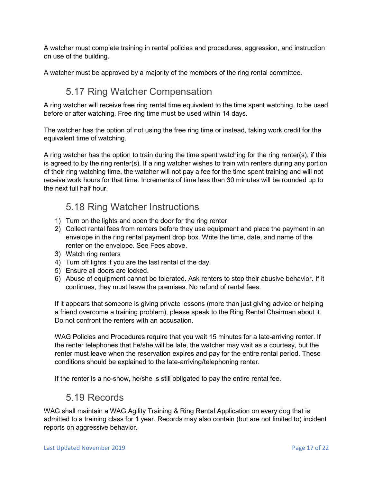A watcher must complete training in rental policies and procedures, aggression, and instruction on use of the building.

A watcher must be approved by a majority of the members of the ring rental committee.

# 5.17 Ring Watcher Compensation

<span id="page-16-0"></span>A ring watcher will receive free ring rental time equivalent to the time spent watching, to be used before or after watching. Free ring time must be used within 14 days.

The watcher has the option of not using the free ring time or instead, taking work credit for the equivalent time of watching.

A ring watcher has the option to train during the time spent watching for the ring renter(s), if this is agreed to by the ring renter(s). If a ring watcher wishes to train with renters during any portion of their ring watching time, the watcher will not pay a fee for the time spent training and will not receive work hours for that time. Increments of time less than 30 minutes will be rounded up to the next full half hour.

# 5.18 Ring Watcher Instructions

- <span id="page-16-1"></span>1) Turn on the lights and open the door for the ring renter.
- 2) Collect rental fees from renters before they use equipment and place the payment in an envelope in the ring rental payment drop box. Write the time, date, and name of the renter on the envelope. See Fees above.
- 3) Watch ring renters
- 4) Turn off lights if you are the last rental of the day.
- 5) Ensure all doors are locked.
- 6) Abuse of equipment cannot be tolerated. Ask renters to stop their abusive behavior. If it continues, they must leave the premises. No refund of rental fees.

If it appears that someone is giving private lessons (more than just giving advice or helping a friend overcome a training problem), please speak to the Ring Rental Chairman about it. Do not confront the renters with an accusation.

WAG Policies and Procedures require that you wait 15 minutes for a late-arriving renter. If the renter telephones that he/she will be late, the watcher may wait as a courtesy, but the renter must leave when the reservation expires and pay for the entire rental period. These conditions should be explained to the late-arriving/telephoning renter.

If the renter is a no-show, he/she is still obligated to pay the entire rental fee.

## 5.19 Records

<span id="page-16-2"></span>WAG shall maintain a WAG Agility Training & Ring Rental Application on every dog that is admitted to a training class for 1 year. Records may also contain (but are not limited to) incident reports on aggressive behavior.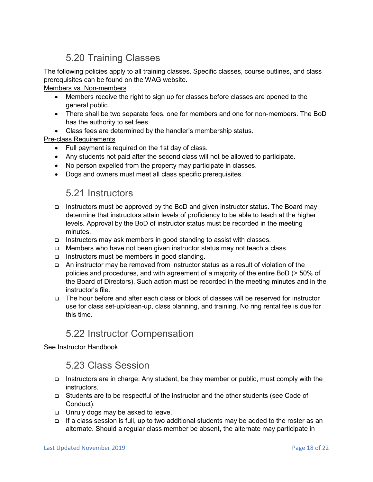# 5.20 Training Classes

<span id="page-17-0"></span>The following policies apply to all training classes. Specific classes, course outlines, and class prerequisites can be found on the WAG website.

#### Members vs. Non-members

- Members receive the right to sign up for classes before classes are opened to the general public.
- There shall be two separate fees, one for members and one for non-members. The BoD has the authority to set fees.
- Class fees are determined by the handler's membership status.

#### Pre-class Requirements

- Full payment is required on the 1st day of class.
- Any students not paid after the second class will not be allowed to participate.
- No person expelled from the property may participate in classes.
- Dogs and owners must meet all class specific prerequisites.

## 5.21 Instructors

- <span id="page-17-1"></span> Instructors must be approved by the BoD and given instructor status. The Board may determine that instructors attain levels of proficiency to be able to teach at the higher levels. Approval by the BoD of instructor status must be recorded in the meeting minutes.
- Instructors may ask members in good standing to assist with classes.
- Members who have not been given instructor status may not teach a class.
- $\Box$  Instructors must be members in good standing.
- An instructor may be removed from instructor status as a result of violation of the policies and procedures, and with agreement of a majority of the entire BoD (> 50% of the Board of Directors). Such action must be recorded in the meeting minutes and in the instructor's file.
- The hour before and after each class or block of classes will be reserved for instructor use for class set-up/clean-up, class planning, and training. No ring rental fee is due for this time.

## 5.22 Instructor Compensation

<span id="page-17-3"></span><span id="page-17-2"></span>See Instructor Handbook

## 5.23 Class Session

- Instructors are in charge. Any student, be they member or public, must comply with the instructors.
- Students are to be respectful of the instructor and the other students (see Code of Conduct).
- □ Unruly dogs may be asked to leave.
- If a class session is full, up to two additional students may be added to the roster as an alternate. Should a regular class member be absent, the alternate may participate in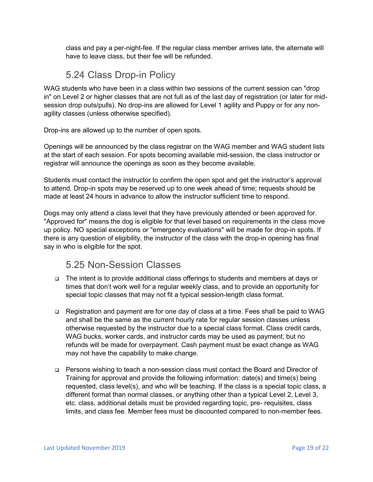class and pay a per-night-fee. If the regular class member arrives late, the alternate will have to leave class, but their fee will be refunded.

# 5.24 Class Drop-in Policy

<span id="page-18-0"></span>WAG students who have been in a class within two sessions of the current session can "drop in" on Level 2 or higher classes that are not full as of the last day of registration (or later for midsession drop outs/pulls). No drop-ins are allowed for Level 1 agility and Puppy or for any nonagility classes (unless otherwise specified).

Drop-ins are allowed up to the number of open spots.

Openings will be announced by the class registrar on the WAG member and WAG student lists at the start of each session. For spots becoming available mid-session, the class instructor or registrar will announce the openings as soon as they become available.

Students must contact the instructor to confirm the open spot and get the instructor's approval to attend. Drop-in spots may be reserved up to one week ahead of time; requests should be made at least 24 hours in advance to allow the instructor sufficient time to respond.

Dogs may only attend a class level that they have previously attended or been approved for. "Approved for" means the dog is eligible for that level based on requirements in the class move up policy. NO special exceptions or "emergency evaluations" will be made for drop-in spots. If there is any question of eligibility, the instructor of the class with the drop-in opening has final say in who is eligible for the spot.

# 5.25 Non-Session Classes

- <span id="page-18-1"></span> The intent is to provide additional class offerings to students and members at days or times that don't work well for a regular weekly class, and to provide an opportunity for special topic classes that may not fit a typical session-length class format.
- Registration and payment are for one day of class at a time. Fees shall be paid to WAG and shall be the same as the current hourly rate for regular session classes unless otherwise requested by the instructor due to a special class format. Class credit cards, WAG bucks, worker cards, and instructor cards may be used as payment, but no refunds will be made for overpayment. Cash payment must be exact change as WAG may not have the capability to make change.
- Persons wishing to teach a non-session class must contact the Board and Director of Training for approval and provide the following information: date(s) and time(s) being requested, class level(s), and who will be teaching. If the class is a special topic class, a different format than normal classes, or anything other than a typical Level 2, Level 3, etc. class, additional details must be provided regarding topic, pre- requisites, class limits, and class fee. Member fees must be discounted compared to non-member fees.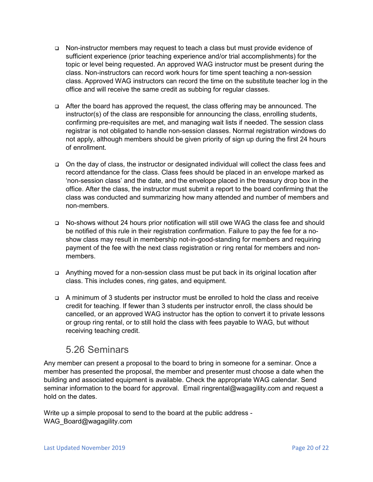- Non-instructor members may request to teach a class but must provide evidence of sufficient experience (prior teaching experience and/or trial accomplishments) for the topic or level being requested. An approved WAG instructor must be present during the class. Non-instructors can record work hours for time spent teaching a non-session class. Approved WAG instructors can record the time on the substitute teacher log in the office and will receive the same credit as subbing for regular classes.
- After the board has approved the request, the class offering may be announced. The instructor(s) of the class are responsible for announcing the class, enrolling students, confirming pre-requisites are met, and managing wait lists if needed. The session class registrar is not obligated to handle non-session classes. Normal registration windows do not apply, although members should be given priority of sign up during the first 24 hours of enrollment.
- On the day of class, the instructor or designated individual will collect the class fees and record attendance for the class. Class fees should be placed in an envelope marked as 'non-session class' and the date, and the envelope placed in the treasury drop box in the office. After the class, the instructor must submit a report to the board confirming that the class was conducted and summarizing how many attended and number of members and non-members.
- No-shows without 24 hours prior notification will still owe WAG the class fee and should be notified of this rule in their registration confirmation. Failure to pay the fee for a noshow class may result in membership not-in-good-standing for members and requiring payment of the fee with the next class registration or ring rental for members and nonmembers.
- Anything moved for a non-session class must be put back in its original location after class. This includes cones, ring gates, and equipment.
- A minimum of 3 students per instructor must be enrolled to hold the class and receive credit for teaching. If fewer than 3 students per instructor enroll, the class should be cancelled, or an approved WAG instructor has the option to convert it to private lessons or group ring rental, or to still hold the class with fees payable to WAG, but without receiving teaching credit.

## 5.26 Seminars

<span id="page-19-0"></span>Any member can present a proposal to the board to bring in someone for a seminar. Once a member has presented the proposal, the member and presenter must choose a date when the building and associated equipment is available. Check the appropriate WAG calendar. Send seminar information to the board for approval. Email ringrental@wagagility.com and request a hold on the dates.

Write up a simple proposal to send to the board at the public address - WAG Board@wagagility.com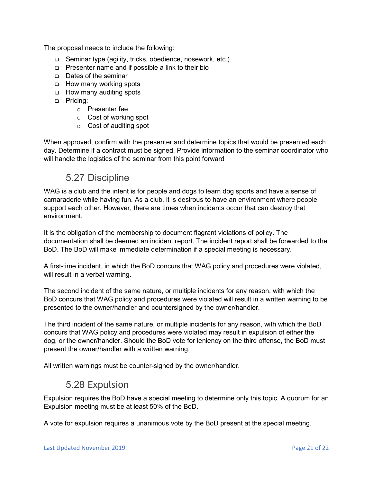The proposal needs to include the following:

- Seminar type (agility, tricks, obedience, nosework, etc.)
- Presenter name and if possible a link to their bio
- Dates of the seminar
- □ How many working spots
- □ How many auditing spots
- **D** Pricing:
	- o Presenter fee
	- o Cost of working spot
	- o Cost of auditing spot

When approved, confirm with the presenter and determine topics that would be presented each day. Determine if a contract must be signed. Provide information to the seminar coordinator who will handle the logistics of the seminar from this point forward

## 5.27 Discipline

<span id="page-20-0"></span>WAG is a club and the intent is for people and dogs to learn dog sports and have a sense of camaraderie while having fun. As a club, it is desirous to have an environment where people support each other. However, there are times when incidents occur that can destroy that environment.

It is the obligation of the membership to document flagrant violations of policy. The documentation shall be deemed an incident report. The incident report shall be forwarded to the BoD. The BoD will make immediate determination if a special meeting is necessary.

A first-time incident, in which the BoD concurs that WAG policy and procedures were violated, will result in a verbal warning.

The second incident of the same nature, or multiple incidents for any reason, with which the BoD concurs that WAG policy and procedures were violated will result in a written warning to be presented to the owner/handler and countersigned by the owner/handler.

The third incident of the same nature, or multiple incidents for any reason, with which the BoD concurs that WAG policy and procedures were violated may result in expulsion of either the dog, or the owner/handler. Should the BoD vote for leniency on the third offense, the BoD must present the owner/handler with a written warning.

All written warnings must be counter-signed by the owner/handler.

# 5.28 Expulsion

<span id="page-20-1"></span>Expulsion requires the BoD have a special meeting to determine only this topic. A quorum for an Expulsion meeting must be at least 50% of the BoD.

A vote for expulsion requires a unanimous vote by the BoD present at the special meeting.